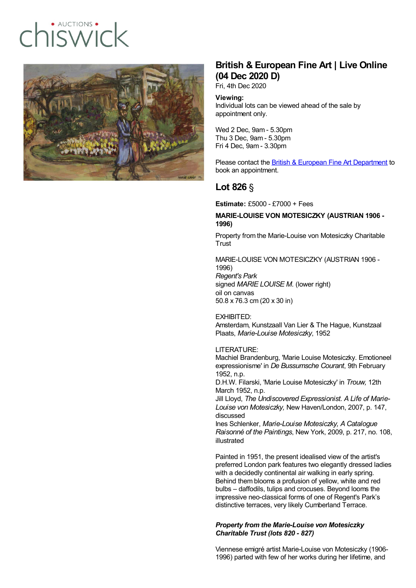# · AUCTIONS  $IISIMIT$



## **British & European Fine Art | Live Online (04 Dec 2020 D)**

Fri, 4th Dec 2020

#### **Viewing:**

Individual lots can be viewed ahead of the sale by appointment only.

Wed 2 Dec, 9am - 5.30pm Thu 3 Dec, 9am - 5.30pm Fri 4 Dec, 9am - 3.30pm

Please contact the **British & European Fine Art [Department](mailto:ishbel.gray@chiswickauctions.co.uk)** to book an appointment.

### **Lot 826** §

**Estimate:** £5000 - £7000 + Fees

#### **MARIE-LOUISE VON MOTESICZKY (AUSTRIAN 1906 - 1996)**

Property from the Marie-Louise von Motesiczky Charitable **Trust** 

MARIE-LOUISE VON MOTESICZKY (AUSTRIAN 1906 - 1996) *Regent's Park* signed *MARIE LOUISE M.* (lower right) oil on canvas 50.8 x 76.3 cm (20 x 30 in)

EXHIBITED: Amsterdam, Kunstzaall Van Lier & The Hague, Kunstzaal Plaats, *Marie-Louise Motesiczky*, 1952

#### LITERATURE:

Machiel Brandenburg, 'Marie Louise Motesiczky. Emotioneel expressionisme' in *De Bussumsche Courant*, 9th February 1952, n.p.

D.H.W. Filarski, 'Marie Louise Motesiczky' in *Trouw,* 12th March 1952, n.p.

Jill Lloyd, *The Undiscovered Expressionist. A Life of Marie-Louise von Motesiczky,* New Haven/London, 2007, p. 147, discussed

Ines Schlenker, *Marie-Louise Motesiczky, A Catalogue Raisonné of the Paintings*, New York, 2009, p. 217, no. 108, illustrated

Painted in 1951, the present idealised view of the artist's preferred London park features two elegantly dressed ladies with a decidedly continental air walking in early spring. Behind them blooms a profusion of yellow, white and red bulbs – daffodils, tulips and crocuses. Beyond looms the impressive neo-classical forms of one of Regent's Park's distinctive terraces, very likely Cumberland Terrace.

#### *Property from the Marie-Louise von Motesiczky Charitable Trust (lots 820 - 827)*

Viennese emigré artist Marie-Louise von Motesiczky (1906- 1996) parted with few of her works during her lifetime, and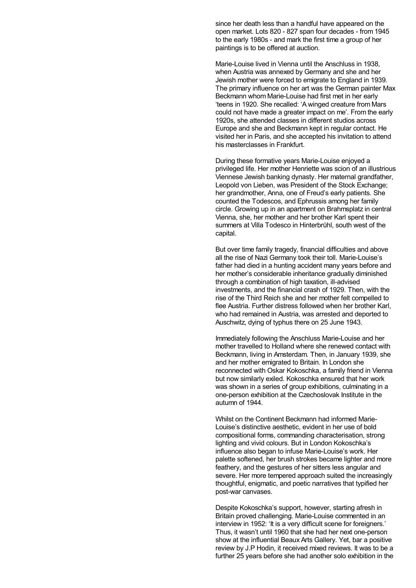since her death less than a handful have appeared on the open market. Lots 820 - 827 span four decades - from 1945 to the early 1980s - and mark the first time a group of her paintings is to be offered at auction.

Marie-Louise lived in Vienna until the Anschluss in 1938, when Austria was annexed by Germany and she and her Jewish mother were forced to emigrate to England in 1939. The primary influence on her art was the German painter Max Beckmann whom Marie-Louise had first met in her early 'teens in 1920. She recalled: 'A winged creature from Mars could not have made a greater impact on me'. From the early 1920s, she attended classes in different studios across Europe and she and Beckmann kept in regular contact. He visited her in Paris, and she accepted his invitation to attend his masterclasses in Frankfurt.

During these formative years Marie-Louise enjoyed a privileged life. Her mother Henriette was scion of an illustrious Viennese Jewish banking dynasty. Her maternal grandfather, Leopold von Lieben, was President of the Stock Exchange; her grandmother, Anna, one of Freud's early patients. She counted the Todescos, and Ephrussis among her family circle. Growing up in an apartment on Brahmsplatz in central Vienna, she, her mother and her brother Karl spent their summers at Villa Todesco in Hinterbrühl, south west of the capital.

But over time family tragedy, financial difficulties and above all the rise of Nazi Germany took their toll. Marie-Louise's father had died in a hunting accident many years before and her mother's considerable inheritance gradually diminished through a combination of high taxation, ill-advised investments, and the financial crash of 1929. Then, with the rise of the Third Reich she and her mother felt compelled to flee Austria. Further distress followed when her brother Karl, who had remained in Austria, was arrested and deported to Auschwitz, dying of typhus there on 25 June 1943.

Immediately following the Anschluss Marie-Louise and her mother travelled to Holland where she renewed contact with Beckmann, living in Amsterdam. Then, in January 1939, she and her mother emigrated to Britain. In London she reconnected with Oskar Kokoschka, a family friend in Vienna but now similarly exiled. Kokoschka ensured that her work was shown in a series of group exhibitions, culminating in a one-person exhibition at the Czechoslovak Institute in the autumn of 1944.

Whilst on the Continent Beckmann had informed Marie-Louise's distinctive aesthetic, evident in her use of bold compositional forms, commanding characterisation, strong lighting and vivid colours. But in London Kokoschka's influence also began to infuse Marie-Louise's work. Her palette softened, her brush strokes became lighter and more feathery, and the gestures of her sitters less angular and severe. Her more tempered approach suited the increasingly thoughtful, enigmatic, and poetic narratives that typified her post-war canvases.

Despite Kokoschka's support, however, starting afresh in Britain proved challenging. Marie-Louise commented in an interview in 1952: 'It is a very difficult scene for foreigners.' Thus, it wasn't until 1960 that she had her next one-person show at the influential Beaux Arts Gallery. Yet, bar a positive review by J.P Hodin, it received mixed reviews. It was to be a further 25 years before she had another solo exhibition in the